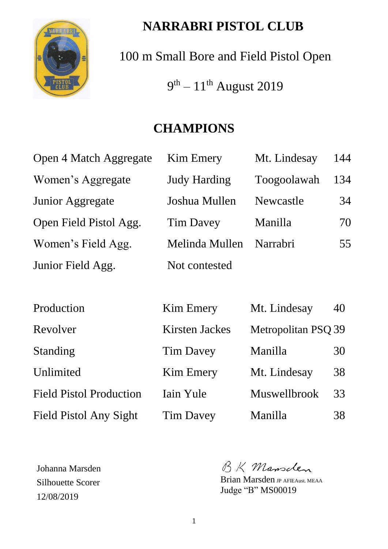

# **NARRABRI PISTOL CLUB**

100 m Small Bore and Field Pistol Open

 $9<sup>th</sup> - 11<sup>th</sup>$  August 2019

# **CHAMPIONS**

| Open 4 Match Aggregate | <b>Kim Emery</b>    | Mt. Lindesay | 144 |
|------------------------|---------------------|--------------|-----|
| Women's Aggregate      | <b>Judy Harding</b> | Toogoolawah  | 134 |
| Junior Aggregate       | Joshua Mullen       | Newcastle    | 34  |
| Open Field Pistol Agg. | <b>Tim Davey</b>    | Manilla      | 70  |
| Women's Field Agg.     | Melinda Mullen      | Narrabri     | 55  |
| Junior Field Agg.      | Not contested       |              |     |

| Production                     | <b>Kim Emery</b>      | Mt. Lindesay        | 40 |
|--------------------------------|-----------------------|---------------------|----|
| Revolver                       | <b>Kirsten Jackes</b> | Metropolitan PSQ 39 |    |
| Standing                       | <b>Tim Davey</b>      | Manilla             | 30 |
| Unlimited                      | <b>Kim Emery</b>      | Mt. Lindesay        | 38 |
| <b>Field Pistol Production</b> | Iain Yule             | Muswellbrook        | 33 |
| Field Pistol Any Sight         | <b>Tim Davey</b>      | Manilla             | 38 |

Johanna Marsden Silhouette Scorer 12/08/2019

BK Mansclen

Brian Marsden JP AFIEAust. MEAA Judge "B" MS00019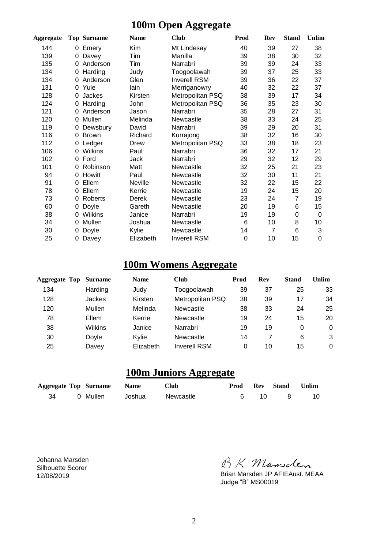### **100m Open Aggregate**

| Aggregate |   | <b>Top Surname</b> | <b>Name</b> | <b>Club</b>         | Prod | <b>Rev</b>     | <b>Stand</b>   | <b>Unlim</b> |
|-----------|---|--------------------|-------------|---------------------|------|----------------|----------------|--------------|
| 144       | 0 | Emery              | Kim         | Mt Lindesay         | 40   | 39             | 27             | 38           |
| 139       | 0 | Davey              | Tim         | Manilla             | 39   | 38             | 30             | 32           |
| 135       | 0 | Anderson           | Tim         | Narrabri            | 39   | 39             | 24             | 33           |
| 134       | 0 | Harding            | Judy        | Toogoolawah         | 39   | 37             | 25             | 33           |
| 134       | 0 | Anderson           | Glen        | <b>Inverell RSM</b> | 39   | 36             | 22             | 37           |
| 131       | 0 | Yule               | lain        | Merriganowry        | 40   | 32             | 22             | 37           |
| 128       | 0 | Jackes             | Kirsten     | Metropolitan PSQ    | 38   | 39             | 17             | 34           |
| 124       | 0 | Harding            | John        | Metropolitan PSQ    | 36   | 35             | 23             | 30           |
| 121       | 0 | Anderson           | Jason       | Narrabri            | 35   | 28             | 27             | 31           |
| 120       | 0 | Mullen             | Melinda     | Newcastle           | 38   | 33             | 24             | 25           |
| 119       | 0 | Dewsbury           | David       | Narrabri            | 39   | 29             | 20             | 31           |
| 116       | 0 | <b>Brown</b>       | Richard     | Kurrajong           | 38   | 32             | 16             | 30           |
| 112       | 0 | Ledger             | Drew        | Metropolitan PSQ    | 33   | 38             | 18             | 23           |
| 106       | 0 | Wilkins            | Paul        | Narrabri            | 36   | 32             | 17             | 21           |
| 102       | 0 | Ford               | Jack        | Narrabri            | 29   | 32             | 12             | 29           |
| 101       | 0 | Robinson           | Matt        | Newcastle           | 32   | 25             | 21             | 23           |
| 94        | 0 | Howitt             | Paul        | Newcastle           | 32   | 30             | 11             | 21           |
| 91        | 0 | Ellem              | Neville     | Newcastle           | 32   | 22             | 15             | 22           |
| 78        | 0 | Ellem              | Kerrie      | Newcastle           | 19   | 24             | 15             | 20           |
| 73        | 0 | Roberts            | Derek       | Newcastle           | 23   | 24             | $\overline{7}$ | 19           |
| 60        | 0 | Doyle              | Gareth      | Newcastle           | 20   | 19             | 6              | 15           |
| 38        | 0 | Wilkins            | Janice      | Narrabri            | 19   | 19             | 0              | 0            |
| 34        | 0 | Mullen             | Joshua      | Newcastle           | 6    | 10             | 8              | 10           |
| 30        | 0 | Doyle              | Kylie       | Newcastle           | 14   | $\overline{7}$ | 6              | 3            |
| 25        | 0 | Davey              | Elizabeth   | <b>Inverell RSM</b> | 0    | 10             | 15             | 0            |

## **100m Womens Aggregate**

| <b>Aggregate Top</b> | <b>Surname</b> | <b>Name</b> | <b>Club</b>         | Prod | Rev | <b>Stand</b> | Unlim |
|----------------------|----------------|-------------|---------------------|------|-----|--------------|-------|
| 134                  | Harding        | Judy        | Toogoolawah         | 39   | 37  | 25           | 33    |
| 128                  | Jackes         | Kirsten     | Metropolitan PSQ    | 38   | 39  | 17           | 34    |
| 120                  | Mullen         | Melinda     | Newcastle           | 38   | 33  | 24           | 25    |
| 78                   | Ellem          | Kerrie      | Newcastle           | 19   | 24  | 15           | 20    |
| 38                   | Wilkins        | Janice      | Narrabri            | 19   | 19  | 0            | 0     |
| 30                   | Doyle          | Kvlie       | Newcastle           | 14   |     | 6            | 3     |
| 25                   | Davey          | Elizabeth   | <b>Inverell RSM</b> | 0    | 10  | 15           | 0     |

#### **100m Juniors Aggregate**

|    | <b>Aggregate Top Surname Name</b> |        | <b>Club</b> |  | <b>Prod Rev Stand Unlim</b> |      |
|----|-----------------------------------|--------|-------------|--|-----------------------------|------|
| 34 | 0 Mullen                          | Joshua | Newcastle   |  | $\mathbf{R}$                | - 10 |

Johanna Marsden Silhouette Scorer 12/08/2019

BK Mansclen<br>Brian Marsden JP AFIEAust. MEAA

Judge "B" MS00019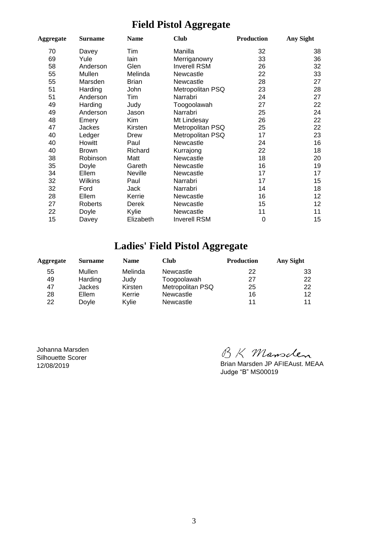### **Field Pistol Aggregate**

| Aggregate | <b>Club</b><br><b>Surname</b><br><b>Name</b> |              | <b>Production</b>   | Any Sight |    |
|-----------|----------------------------------------------|--------------|---------------------|-----------|----|
| 70        | Davey                                        | Tim          | Manilla             | 32        | 38 |
| 69        | Yule                                         | lain         | Merriganowry        | 33        | 36 |
| 58        | Anderson                                     | Glen         | <b>Inverell RSM</b> | 26        | 32 |
| 55        | Mullen                                       | Melinda      | Newcastle           | 22        | 33 |
| 55        | Marsden                                      | <b>Brian</b> | Newcastle           | 28        | 27 |
| 51        | Harding                                      | John         | Metropolitan PSQ    | 23        | 28 |
| 51        | Anderson                                     | Tim          | Narrabri            | 24        | 27 |
| 49        | Harding                                      | Judy         | Toogoolawah         | 27        | 22 |
| 49        | Anderson                                     | Jason        | Narrabri            | 25        | 24 |
| 48        | Emery                                        | Kim          | Mt Lindesay         | 26        | 22 |
| 47        | Jackes                                       | Kirsten      | Metropolitan PSQ    | 25        | 22 |
| 40        | Ledger                                       | Drew         | Metropolitan PSQ    | 17        | 23 |
| 40        | <b>Howitt</b>                                | Paul         | Newcastle           | 24        | 16 |
| 40        | <b>Brown</b>                                 | Richard      | Kurrajong           | 22        | 18 |
| 38        | Robinson                                     | Matt         | Newcastle           | 18        | 20 |
| 35        | Doyle                                        | Gareth       | Newcastle           | 16        | 19 |
| 34        | Ellem                                        | Neville      | Newcastle           | 17        | 17 |
| 32        | Wilkins                                      | Paul         | Narrabri            | 17        | 15 |
| 32        | Ford                                         | Jack         | Narrabri            | 14        | 18 |
| 28        | Ellem                                        | Kerrie       | Newcastle           | 16        | 12 |
| 27        | Roberts                                      | Derek        | Newcastle           | 15        | 12 |
| 22        | Doyle                                        | Kylie        | Newcastle           | 11        | 11 |
| 15        | Davey                                        | Elizabeth    | <b>Inverell RSM</b> | 0         | 15 |

## **Ladies' Field Pistol Aggregate**

| Aggregate | <b>Surname</b> | <b>Name</b> | Club             | <b>Production</b> | Any Sight |
|-----------|----------------|-------------|------------------|-------------------|-----------|
| 55        | Mullen         | Melinda     | Newcastle        | 22                | 33        |
| 49        | Harding        | Judy        | Toogoolawah      | 27                | 22        |
| 47        | <b>Jackes</b>  | Kirsten     | Metropolitan PSQ | 25                | 22        |
| 28        | Ellem          | Kerrie      | Newcastle        | 16                | 12        |
| 22        | Dovle          | Kvlie       | Newcastle        | 11                | 11        |

Johanna Marsden Silhouette Scorer 12/08/2019

BK Mansclen<br>Brian Marsden JP AFIEAust. MEAA

Judge "B" MS00019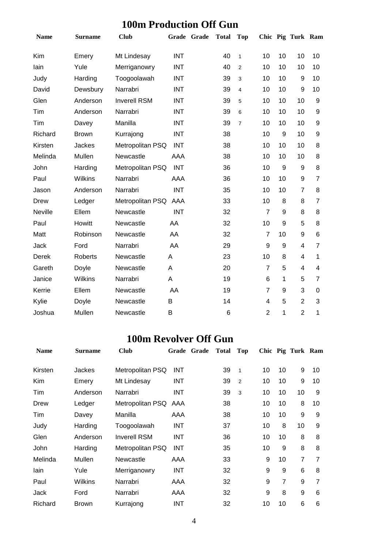### **100m Production Off Gun**

| <b>Name</b> | <b>Surname</b> | <b>Club</b>         | Grade Grade | <b>Total</b> | <b>Top</b>     |                |                  | Chic Pig Turk Ram |                         |
|-------------|----------------|---------------------|-------------|--------------|----------------|----------------|------------------|-------------------|-------------------------|
| Kim         | Emery          | Mt Lindesay         | <b>INT</b>  | 40           | $\mathbf{1}$   | 10             | 10               | 10                | 10                      |
| lain        | Yule           | Merriganowry        | <b>INT</b>  | 40           | $\overline{2}$ | 10             | 10               | 10                | 10                      |
| Judy        | Harding        | Toogoolawah         | <b>INT</b>  | 39           | 3              | 10             | 10               | 9                 | 10                      |
| David       | Dewsbury       | Narrabri            | <b>INT</b>  | 39           | 4              | 10             | 10               | 9                 | 10                      |
| Glen        | Anderson       | <b>Inverell RSM</b> | <b>INT</b>  | 39           | 5              | 10             | 10               | 10                | 9                       |
| Tim         | Anderson       | Narrabri            | <b>INT</b>  | 39           | 6              | 10             | 10               | 10                | 9                       |
| Tim         | Davey          | Manilla             | <b>INT</b>  | 39           | $\overline{7}$ | 10             | 10               | 10                | 9                       |
| Richard     | <b>Brown</b>   | Kurrajong           | <b>INT</b>  | 38           |                | 10             | 9                | 10                | 9                       |
| Kirsten     | <b>Jackes</b>  | Metropolitan PSQ    | <b>INT</b>  | 38           |                | 10             | 10               | 10                | 8                       |
| Melinda     | Mullen         | Newcastle           | AAA         | 38           |                | 10             | 10               | 10                | 8                       |
| John        | Harding        | Metropolitan PSQ    | <b>INT</b>  | 36           |                | 10             | 9                | 9                 | 8                       |
| Paul        | <b>Wilkins</b> | Narrabri            | <b>AAA</b>  | 36           |                | 10             | 10               | $\boldsymbol{9}$  | $\overline{7}$          |
| Jason       | Anderson       | Narrabri            | <b>INT</b>  | 35           |                | 10             | 10               | $\overline{7}$    | 8                       |
| Drew        | Ledger         | Metropolitan PSQ    | AAA         | 33           |                | 10             | 8                | 8                 | $\overline{7}$          |
| Neville     | Ellem          | Newcastle           | <b>INT</b>  | 32           |                | $\overline{7}$ | $\boldsymbol{9}$ | 8                 | 8                       |
| Paul        | Howitt         | Newcastle           | AA          | 32           |                | 10             | 9                | 5                 | 8                       |
| Matt        | Robinson       | Newcastle           | AA          | 32           |                | $\overline{7}$ | 10               | 9                 | 6                       |
| Jack        | Ford           | Narrabri            | AA          | 29           |                | 9              | 9                | 4                 | $\overline{7}$          |
| Derek       | Roberts        | Newcastle           | Α           | 23           |                | 10             | 8                | 4                 | 1                       |
| Gareth      | Doyle          | Newcastle           | A           | 20           |                | $\overline{7}$ | 5                | 4                 | $\overline{\mathbf{4}}$ |
| Janice      | Wilkins        | Narrabri            | A           | 19           |                | 6              | 1                | 5                 | $\overline{7}$          |
| Kerrie      | Ellem          | Newcastle           | AA          | 19           |                | $\overline{7}$ | 9                | 3                 | $\pmb{0}$               |
| Kylie       | Doyle          | Newcastle           | B           | 14           |                | $\overline{4}$ | 5                | $\overline{2}$    | 3                       |
| Joshua      | Mullen         | Newcastle           | B           | 6            |                | $\overline{2}$ | 1                | $\overline{2}$    | 1                       |

#### **100m Revolver Off Gun**

| <b>Name</b> | <b>Surname</b> | <b>Club</b>         | Grade      | Grade | <b>Total</b> | Top |    |                | Chic Pig Turk Ram |    |
|-------------|----------------|---------------------|------------|-------|--------------|-----|----|----------------|-------------------|----|
| Kirsten     | Jackes         | Metropolitan PSQ    | <b>INT</b> |       | 39           | 1   | 10 | 10             | 9                 | 10 |
| Kim         | Emery          | Mt Lindesay         | <b>INT</b> |       | 39           | 2   | 10 | 10             | 9                 | 10 |
| Tim         | Anderson       | Narrabri            | <b>INT</b> |       | 39           | 3   | 10 | 10             | 10                | 9  |
| Drew        | Ledger         | Metropolitan PSQ    | AAA        |       | 38           |     | 10 | 10             | 8                 | 10 |
| Tim         | Davey          | Manilla             | AAA        |       | 38           |     | 10 | 10             | 9                 | 9  |
| Judy        | Harding        | Toogoolawah         | <b>INT</b> |       | 37           |     | 10 | 8              | 10                | 9  |
| Glen        | Anderson       | <b>Inverell RSM</b> | <b>INT</b> |       | 36           |     | 10 | 10             | 8                 | 8  |
| <b>John</b> | Harding        | Metropolitan PSQ    | <b>INT</b> |       | 35           |     | 10 | 9              | 8                 | 8  |
| Melinda     | Mullen         | Newcastle           | AAA        |       | 33           |     | 9  | 10             | 7                 | 7  |
| lain        | Yule           | Merriganowry        | INT        |       | 32           |     | 9  | 9              | 6                 | 8  |
| Paul        | <b>Wilkins</b> | Narrabri            | AAA        |       | 32           |     | 9  | $\overline{7}$ | 9                 | 7  |
| Jack        | Ford           | Narrabri            | AAA        |       | 32           |     | 9  | 8              | 9                 | 6  |
| Richard     | <b>Brown</b>   | Kurrajong           | <b>INT</b> |       | 32           |     | 10 | 10             | 6                 | 6  |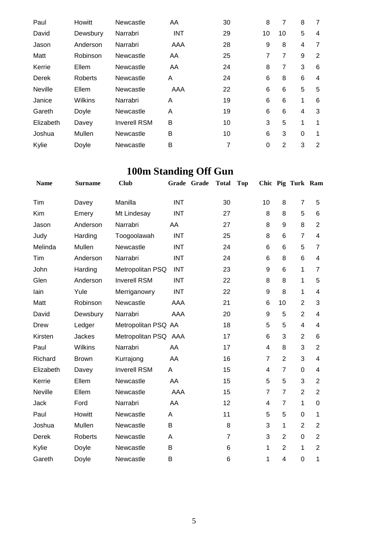| Paul           | <b>Howitt</b> | Newcastle           | AA         | 30 | 8              | 7  | 8        | 7 |
|----------------|---------------|---------------------|------------|----|----------------|----|----------|---|
| David          | Dewsbury      | Narrabri            | <b>INT</b> | 29 | 10             | 10 | 5        | 4 |
| Jason          | Anderson      | Narrabri            | AAA        | 28 | 9              | 8  | 4        | 7 |
| Matt           | Robinson      | Newcastle           | AA         | 25 | $\overline{7}$ | 7  | 9        | 2 |
| Kerrie         | Ellem         | Newcastle           | AA         | 24 | 8              | 7  | 3        | 6 |
| Derek          | Roberts       | Newcastle           | A          | 24 | 6              | 8  | 6        | 4 |
| <b>Neville</b> | Ellem         | Newcastle           | AAA        | 22 | 6              | 6  | 5        | 5 |
| Janice         | Wilkins       | Narrabri            | A          | 19 | 6              | 6  | 1        | 6 |
| Gareth         | Doyle         | Newcastle           | A          | 19 | 6              | 6  | 4        | 3 |
| Elizabeth      | Davey         | <b>Inverell RSM</b> | B          | 10 | 3              | 5  | 1        | 1 |
| Joshua         | Mullen        | Newcastle           | B          | 10 | 6              | 3  | $\Omega$ | 1 |
| Kylie          | Doyle         | Newcastle           | B          | 7  | 0              | 2  | 3        | 2 |

# **100m Standing Off Gun**

| <b>Name</b> | <b>Surname</b> | <b>Club</b>          |            | Grade Grade | <b>Total</b>   | <b>Top</b> |                |                | Chic Pig Turk Ram |                |
|-------------|----------------|----------------------|------------|-------------|----------------|------------|----------------|----------------|-------------------|----------------|
| Tim         | Davey          | Manilla              | <b>INT</b> |             | 30             |            | 10             | 8              | $\overline{7}$    | 5              |
| Kim         | Emery          | Mt Lindesay          | <b>INT</b> |             | 27             |            | 8              | 8              | 5                 | 6              |
| Jason       | Anderson       | Narrabri             | AA         |             | 27             |            | 8              | 9              | 8                 | $\overline{2}$ |
| Judy        | Harding        | Toogoolawah          | <b>INT</b> |             | 25             |            | 8              | 6              | $\overline{7}$    | 4              |
| Melinda     | Mullen         | Newcastle            | <b>INT</b> |             | 24             |            | 6              | 6              | 5                 | $\overline{7}$ |
| Tim         | Anderson       | Narrabri             | <b>INT</b> |             | 24             |            | 6              | 8              | 6                 | 4              |
| John        | Harding        | Metropolitan PSQ     | <b>INT</b> |             | 23             |            | 9              | 6              | 1                 | $\overline{7}$ |
| Glen        | Anderson       | <b>Inverell RSM</b>  | <b>INT</b> |             | 22             |            | 8              | 8              | 1                 | 5              |
| lain        | Yule           | Merriganowry         | <b>INT</b> |             | 22             |            | 9              | 8              | 1                 | 4              |
| Matt        | Robinson       | Newcastle            | AAA        |             | 21             |            | 6              | 10             | $\overline{2}$    | 3              |
| David       | Dewsbury       | Narrabri             | AAA        |             | 20             |            | 9              | 5              | $\overline{2}$    | 4              |
| Drew        | Ledger         | Metropolitan PSQ AA  |            |             | 18             |            | 5              | 5              | $\overline{4}$    | 4              |
| Kirsten     | Jackes         | Metropolitan PSQ AAA |            |             | 17             |            | 6              | 3              | $\overline{2}$    | 6              |
| Paul        | Wilkins        | Narrabri             | AA         |             | 17             |            | 4              | 8              | 3                 | $\overline{2}$ |
| Richard     | <b>Brown</b>   | Kurrajong            | AA         |             | 16             |            | $\overline{7}$ | $\overline{2}$ | 3                 | 4              |
| Elizabeth   | Davey          | <b>Inverell RSM</b>  | A          |             | 15             |            | 4              | $\overline{7}$ | $\mathbf 0$       | 4              |
| Kerrie      | Ellem          | Newcastle            | AA         |             | 15             |            | 5              | 5              | 3                 | $\overline{2}$ |
| Neville     | Ellem          | Newcastle            | <b>AAA</b> |             | 15             |            | $\overline{7}$ | $\overline{7}$ | $\overline{2}$    | $\overline{2}$ |
| Jack        | Ford           | Narrabri             | AA         |             | 12             |            | 4              | $\overline{7}$ | 1                 | 0              |
| Paul        | Howitt         | Newcastle            | A          |             | 11             |            | 5              | 5              | 0                 | $\mathbf{1}$   |
| Joshua      | Mullen         | Newcastle            | B          |             | 8              |            | 3              | 1              | $\overline{2}$    | $\overline{2}$ |
| Derek       | Roberts        | Newcastle            | Α          |             | $\overline{7}$ |            | 3              | $\overline{2}$ | 0                 | $\overline{2}$ |
| Kylie       | Doyle          | Newcastle            | B          |             | 6              |            | 1              | $\overline{2}$ | 1                 | $\overline{2}$ |
| Gareth      | Doyle          | Newcastle            | B          |             | 6              |            | 1              | 4              | 0                 | 1              |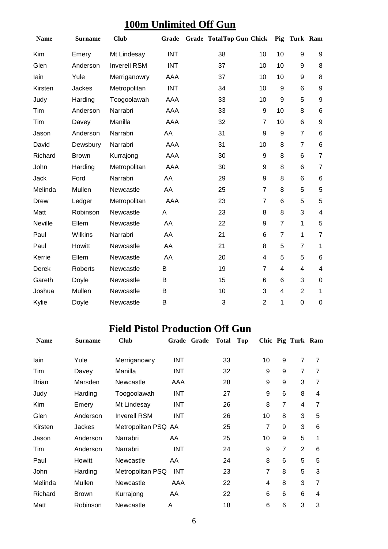## **100m Unlimited Off Gun**

| <b>Name</b>    | <b>Surname</b> | <b>Club</b>         | Grade      | <b>Grade TotalTop Gun Chick</b> |                | Pig            | Turk Ram       |                         |
|----------------|----------------|---------------------|------------|---------------------------------|----------------|----------------|----------------|-------------------------|
| Kim            | Emery          | Mt Lindesay         | <b>INT</b> | 38                              | 10             | 10             | 9              | 9                       |
| Glen           | Anderson       | <b>Inverell RSM</b> | <b>INT</b> | 37                              | 10             | 10             | 9              | 8                       |
| lain           | Yule           | Merriganowry        | AAA        | 37                              | 10             | 10             | 9              | 8                       |
| Kirsten        | Jackes         | Metropolitan        | <b>INT</b> | 34                              | 10             | 9              | 6              | $\boldsymbol{9}$        |
| Judy           | Harding        | Toogoolawah         | AAA        | 33                              | 10             | 9              | 5              | $\boldsymbol{9}$        |
| Tim            | Anderson       | Narrabri            | AAA        | 33                              | 9              | 10             | 8              | 6                       |
| Tim            | Davey          | Manilla             | AAA        | 32                              | $\overline{7}$ | 10             | 6              | 9                       |
| Jason          | Anderson       | Narrabri            | AA         | 31                              | 9              | 9              | $\overline{7}$ | 6                       |
| David          | Dewsbury       | Narrabri            | AAA        | 31                              | 10             | 8              | $\overline{7}$ | $6\phantom{1}$          |
| Richard        | <b>Brown</b>   | Kurrajong           | AAA        | 30                              | 9              | 8              | 6              | $\overline{7}$          |
| John           | Harding        | Metropolitan        | AAA        | 30                              | 9              | 8              | 6              | $\overline{7}$          |
| Jack           | Ford           | Narrabri            | AA         | 29                              | 9              | 8              | 6              | 6                       |
| Melinda        | Mullen         | Newcastle           | AA         | 25                              | $\overline{7}$ | 8              | 5              | 5                       |
| <b>Drew</b>    | Ledger         | Metropolitan        | AAA        | 23                              | $\overline{7}$ | 6              | 5              | 5                       |
| Matt           | Robinson       | Newcastle           | A          | 23                              | 8              | 8              | 3              | $\overline{\mathbf{4}}$ |
| <b>Neville</b> | Ellem          | Newcastle           | AA         | 22                              | 9              | $\overline{7}$ | $\mathbf{1}$   | 5                       |
| Paul           | Wilkins        | Narrabri            | AA         | 21                              | 6              | $\overline{7}$ | $\mathbf{1}$   | $\overline{7}$          |
| Paul           | Howitt         | Newcastle           | AA         | 21                              | 8              | 5              | $\overline{7}$ | 1                       |
| Kerrie         | Ellem          | Newcastle           | AA         | 20                              | $\overline{4}$ | 5              | 5              | 6                       |
| <b>Derek</b>   | Roberts        | Newcastle           | B          | 19                              | $\overline{7}$ | $\overline{4}$ | 4              | 4                       |
| Gareth         | Doyle          | Newcastle           | B          | 15                              | 6              | 6              | 3              | $\mathbf 0$             |
| Joshua         | Mullen         | Newcastle           | B          | 10                              | 3              | 4              | $\overline{2}$ | 1                       |
| Kylie          | Doyle          | Newcastle           | B          | 3                               | $\overline{2}$ | 1              | 0              | $\boldsymbol{0}$        |

## **Field Pistol Production Off Gun**

| <b>Name</b>  | <b>Surname</b> | <b>Club</b>         | Grade Grade | <b>Total</b> | <b>Top</b> |    |                | Chic Pig Turk Ram |                |
|--------------|----------------|---------------------|-------------|--------------|------------|----|----------------|-------------------|----------------|
| lain         | Yule           | Merriganowry        | <b>INT</b>  | 33           |            | 10 | 9              | $\overline{7}$    | $\overline{7}$ |
| Tim          | Davey          | Manilla             | <b>INT</b>  | 32           |            | 9  | 9              | 7                 | $\overline{7}$ |
| <b>Brian</b> | Marsden        | Newcastle           | AAA         | 28           |            | 9  | 9              | 3                 | $\overline{7}$ |
| Judy         | Harding        | Toogoolawah         | <b>INT</b>  | 27           |            | 9  | 6              | 8                 | 4              |
| Kim          | Emery          | Mt Lindesay         | <b>INT</b>  | 26           |            | 8  | $\overline{7}$ | 4                 | 7              |
| Glen         | Anderson       | <b>Inverell RSM</b> | <b>INT</b>  | 26           |            | 10 | 8              | 3                 | 5              |
| Kirsten      | Jackes         | Metropolitan PSQ AA |             | 25           |            | 7  | 9              | 3                 | 6              |
| Jason        | Anderson       | Narrabri            | AA          | 25           |            | 10 | 9              | 5                 | 1              |
| Tim          | Anderson       | Narrabri            | <b>INT</b>  | 24           |            | 9  | $\overline{7}$ | $\overline{2}$    | 6              |
| Paul         | <b>Howitt</b>  | Newcastle           | AA          | 24           |            | 8  | 6              | 5                 | 5              |
| John         | Harding        | Metropolitan PSQ    | <b>INT</b>  | 23           |            | 7  | 8              | 5                 | 3              |
| Melinda      | Mullen         | Newcastle           | AAA         | 22           |            | 4  | 8              | 3                 | 7              |
| Richard      | <b>Brown</b>   | Kurrajong           | AA          | 22           |            | 6  | 6              | 6                 | 4              |
| Matt         | Robinson       | Newcastle           | A           | 18           |            | 6  | 6              | 3                 | 3              |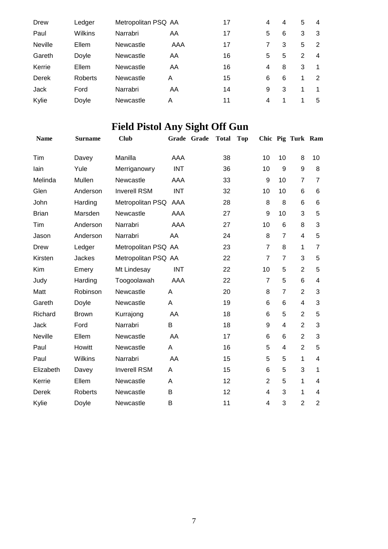| Drew           | Ledger  | Metropolitan PSQ AA |     | 17 | 4 | 4 | 5 | 4 |
|----------------|---------|---------------------|-----|----|---|---|---|---|
| Paul           | Wilkins | Narrabri            | AA  | 17 | 5 | 6 | 3 | 3 |
| <b>Neville</b> | Ellem   | Newcastle           | AAA | 17 |   | 3 | 5 | 2 |
| Gareth         | Doyle   | Newcastle           | AA  | 16 | 5 | 5 | 2 | 4 |
| Kerrie         | Ellem   | Newcastle           | AA  | 16 | 4 | 8 | 3 |   |
| Derek          | Roberts | Newcastle           | A   | 15 | 6 | 6 | 1 | 2 |
| Jack           | Ford    | Narrabri            | AA  | 14 | 9 | 3 | 1 |   |
| Kylie          | Doyle   | Newcastle           | A   | 11 | 4 |   | 1 | 5 |

# **Field Pistol Any Sight Off Gun**

| <b>Name</b>  | <b>Surname</b> | <b>Club</b>         |            | Grade Grade | <b>Total</b> | <b>Top</b> |                |                | Chic Pig Turk Ram |                         |
|--------------|----------------|---------------------|------------|-------------|--------------|------------|----------------|----------------|-------------------|-------------------------|
| Tim          | Davey          | Manilla             | AAA        |             | 38           |            | 10             | 10             | 8                 | 10                      |
| lain         | Yule           | Merriganowry        | <b>INT</b> |             | 36           |            | 10             | 9              | 9                 | 8                       |
| Melinda      | Mullen         | Newcastle           | AAA        |             | 33           |            | 9              | 10             | $\overline{7}$    | $\overline{7}$          |
| Glen         | Anderson       | <b>Inverell RSM</b> | <b>INT</b> |             | 32           |            | 10             | 10             | 6                 | 6                       |
| John         | Harding        | Metropolitan PSQ    | AAA        |             | 28           |            | 8              | 8              | 6                 | 6                       |
| <b>Brian</b> | Marsden        | Newcastle           | AAA        |             | 27           |            | 9              | 10             | 3                 | 5                       |
| Tim          | Anderson       | Narrabri            | AAA        |             | 27           |            | 10             | 6              | 8                 | 3                       |
| Jason        | Anderson       | Narrabri            | AA         |             | 24           |            | 8              | $\overline{7}$ | 4                 | 5                       |
| Drew         | Ledger         | Metropolitan PSQ AA |            |             | 23           |            | $\overline{7}$ | 8              | 1                 | $\overline{7}$          |
| Kirsten      | Jackes         | Metropolitan PSQ AA |            |             | 22           |            | $\overline{7}$ | $\overline{7}$ | 3                 | 5                       |
| Kim          | Emery          | Mt Lindesay         | <b>INT</b> |             | 22           |            | 10             | 5              | $\overline{2}$    | 5                       |
| Judy         | Harding        | Toogoolawah         | AAA        |             | 22           |            | $\overline{7}$ | 5              | 6                 | $\overline{\mathbf{4}}$ |
| Matt         | Robinson       | Newcastle           | A          |             | 20           |            | 8              | $\overline{7}$ | $\overline{2}$    | 3                       |
| Gareth       | Doyle          | Newcastle           | A          |             | 19           |            | 6              | 6              | $\overline{4}$    | 3                       |
| Richard      | <b>Brown</b>   | Kurrajong           | AA         |             | 18           |            | 6              | 5              | $\overline{2}$    | 5                       |
| Jack         | Ford           | Narrabri            | B          |             | 18           |            | 9              | 4              | $\overline{2}$    | 3                       |
| Neville      | Ellem          | Newcastle           | AA         |             | 17           |            | 6              | 6              | $\overline{2}$    | 3                       |
| Paul         | Howitt         | Newcastle           | A          |             | 16           |            | 5              | 4              | $\overline{2}$    | 5                       |
| Paul         | <b>Wilkins</b> | Narrabri            | AA         |             | 15           |            | 5              | 5              | 1                 | 4                       |
| Elizabeth    | Davey          | <b>Inverell RSM</b> | A          |             | 15           |            | 6              | 5              | 3                 | 1                       |
| Kerrie       | Ellem          | Newcastle           | A          |             | 12           |            | $\overline{2}$ | 5              | 1                 | 4                       |
| Derek        | Roberts        | Newcastle           | B          |             | 12           |            | 4              | 3              | 1                 | 4                       |
| Kylie        | Doyle          | Newcastle           | B          |             | 11           |            | 4              | 3              | $\overline{2}$    | $\overline{2}$          |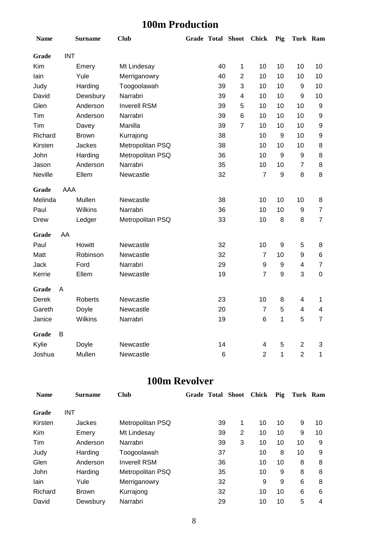## **100m Production**

| <b>Name</b>    |            | <b>Surname</b> | <b>Club</b>         |    | Grade Total Shoot Chick |                | Pig              |                          | Turk Ram         |
|----------------|------------|----------------|---------------------|----|-------------------------|----------------|------------------|--------------------------|------------------|
| Grade          | <b>INT</b> |                |                     |    |                         |                |                  |                          |                  |
| Kim            |            | Emery          | Mt Lindesay         | 40 | 1                       | 10             | 10               | 10                       | 10               |
| lain           |            | Yule           | Merriganowry        | 40 | $\overline{2}$          | 10             | 10               | 10                       | 10               |
| Judy           |            | Harding        | Toogoolawah         | 39 | 3                       | 10             | 10               | 9                        | 10               |
| David          |            | Dewsbury       | Narrabri            | 39 | 4                       | 10             | 10               | $\boldsymbol{9}$         | 10               |
| Glen           |            | Anderson       | <b>Inverell RSM</b> | 39 | 5                       | 10             | 10               | 10                       | 9                |
| Tim            |            | Anderson       | Narrabri            | 39 | 6                       | 10             | 10               | 10                       | $\boldsymbol{9}$ |
| Tim            |            | Davey          | Manilla             | 39 | $\overline{7}$          | 10             | 10               | 10                       | $\boldsymbol{9}$ |
| Richard        |            | <b>Brown</b>   | Kurrajong           | 38 |                         | 10             | 9                | 10                       | $\boldsymbol{9}$ |
| Kirsten        |            | Jackes         | Metropolitan PSQ    | 38 |                         | 10             | 10               | 10                       | 8                |
| John           |            | Harding        | Metropolitan PSQ    | 36 |                         | 10             | $\boldsymbol{9}$ | $\boldsymbol{9}$         | 8                |
| Jason          |            | Anderson       | Narrabri            | 35 |                         | 10             | 10               | $\overline{7}$           | 8                |
| <b>Neville</b> |            | Ellem          | Newcastle           | 32 |                         | $\overline{7}$ | 9                | 8                        | 8                |
| Grade          | AAA        |                |                     |    |                         |                |                  |                          |                  |
| Melinda        |            | Mullen         | Newcastle           | 38 |                         | 10             | 10               | 10                       | 8                |
| Paul           |            | Wilkins        | Narrabri            | 36 |                         | 10             | 10               | $\boldsymbol{9}$         | $\overline{7}$   |
| Drew           |            | Ledger         | Metropolitan PSQ    | 33 |                         | 10             | 8                | 8                        | $\overline{7}$   |
| Grade          | AA         |                |                     |    |                         |                |                  |                          |                  |
| Paul           |            | Howitt         | Newcastle           | 32 |                         | 10             | $\boldsymbol{9}$ | 5                        | 8                |
| Matt           |            | Robinson       | Newcastle           | 32 |                         | 7              | 10               | 9                        | 6                |
| Jack           |            | Ford           | Narrabri            | 29 |                         | 9              | $\boldsymbol{9}$ | 4                        | $\overline{7}$   |
| Kerrie         |            | Ellem          | Newcastle           | 19 |                         | $\overline{7}$ | $\boldsymbol{9}$ | 3                        | $\mathsf 0$      |
| Grade          | A          |                |                     |    |                         |                |                  |                          |                  |
| <b>Derek</b>   |            | Roberts        | Newcastle           | 23 |                         | 10             | 8                | $\overline{\mathcal{A}}$ | 1                |
| Gareth         |            | Doyle          | Newcastle           | 20 |                         | $\overline{7}$ | 5                | 4                        | 4                |
| Janice         |            | Wilkins        | Narrabri            | 19 |                         | 6              | 1                | 5                        | $\overline{7}$   |
| Grade          | B          |                |                     |    |                         |                |                  |                          |                  |
| Kylie          |            | Doyle          | Newcastle           | 14 |                         | 4              | 5                | $\overline{2}$           | 3                |
| Joshua         |            | Mullen         | Newcastle           | 6  |                         | $\overline{2}$ | 1                | $\overline{2}$           | 1                |

### **100m Revolver**

| <b>Name</b> | <b>Surname</b> | <b>Club</b>         | <b>Grade Total Shoot</b> |   | <b>Chick</b> | Pig | Turk Ram |    |
|-------------|----------------|---------------------|--------------------------|---|--------------|-----|----------|----|
| Grade       | <b>INT</b>     |                     |                          |   |              |     |          |    |
| Kirsten     | Jackes         | Metropolitan PSQ    | 39                       | 1 | 10           | 10  | 9        | 10 |
| Kim         | Emery          | Mt Lindesay         | 39                       | 2 | 10           | 10  | 9        | 10 |
| Tim         | Anderson       | Narrabri            | 39                       | 3 | 10           | 10  | 10       | 9  |
| Judy        | Harding        | Toogoolawah         | 37                       |   | 10           | 8   | 10       | 9  |
| Glen        | Anderson       | <b>Inverell RSM</b> | 36                       |   | 10           | 10  | 8        | 8  |
| John        | Harding        | Metropolitan PSQ    | 35                       |   | 10           | 9   | 8        | 8  |
| lain        | Yule           | Merriganowry        | 32                       |   | 9            | 9   | 6        | 8  |
| Richard     | <b>Brown</b>   | Kurrajong           | 32                       |   | 10           | 10  | 6        | 6  |
| David       | Dewsbury       | Narrabri            | 29                       |   | 10           | 10  | 5        | 4  |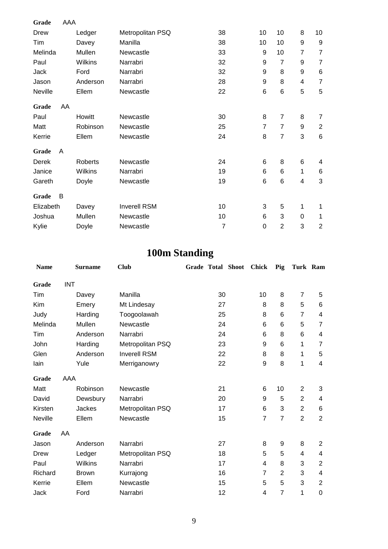| Grade       | AAA |               |                     |                |                |                |                |                  |
|-------------|-----|---------------|---------------------|----------------|----------------|----------------|----------------|------------------|
| Drew        |     | Ledger        | Metropolitan PSQ    | 38             | 10             | 10             | 8              | 10               |
| Tim         |     | Davey         | Manilla             | 38             | 10             | 10             | 9              | $\boldsymbol{9}$ |
| Melinda     |     | Mullen        | Newcastle           | 33             | 9              | 10             | $\overline{7}$ | $\overline{7}$   |
| Paul        |     | Wilkins       | Narrabri            | 32             | 9              | $\overline{7}$ | 9              | $\overline{7}$   |
| <b>Jack</b> |     | Ford          | Narrabri            | 32             | 9              | 8              | 9              | 6                |
| Jason       |     | Anderson      | Narrabri            | 28             | 9              | 8              | 4              | $\overline{7}$   |
| Neville     |     | Ellem         | Newcastle           | 22             | 6              | 6              | 5              | 5                |
| Grade       | AA  |               |                     |                |                |                |                |                  |
| Paul        |     | <b>Howitt</b> | Newcastle           | 30             | 8              | 7              | 8              | $\overline{7}$   |
| Matt        |     | Robinson      | Newcastle           | 25             | $\overline{7}$ | $\overline{7}$ | 9              | $\overline{2}$   |
| Kerrie      |     | Ellem         | Newcastle           | 24             | 8              | $\overline{7}$ | 3              | $\,6$            |
| Grade       | A   |               |                     |                |                |                |                |                  |
| Derek       |     | Roberts       | Newcastle           | 24             | 6              | 8              | 6              | 4                |
| Janice      |     | Wilkins       | Narrabri            | 19             | 6              | 6              | 1              | $\,6$            |
| Gareth      |     | Doyle         | Newcastle           | 19             | 6              | 6              | 4              | 3                |
| Grade       | B   |               |                     |                |                |                |                |                  |
| Elizabeth   |     | Davey         | <b>Inverell RSM</b> | 10             | 3              | 5              | 1              | 1                |
| Joshua      |     | Mullen        | Newcastle           | 10             | 6              | 3              | 0              | 1                |
| Kylie       |     | Doyle         | Newcastle           | $\overline{7}$ | 0              | $\overline{2}$ | 3              | $\overline{2}$   |

## **100m Standing**

| <b>Name</b> |            | <b>Surname</b> | <b>Club</b>         | <b>Grade Total Shoot</b> | <b>Chick</b>   | Pig            | Turk Ram       |                |
|-------------|------------|----------------|---------------------|--------------------------|----------------|----------------|----------------|----------------|
| Grade       | <b>INT</b> |                |                     |                          |                |                |                |                |
| Tim         |            | Davey          | Manilla             | 30                       | 10             | 8              | $\overline{7}$ | 5              |
| Kim         |            | Emery          | Mt Lindesay         | 27                       | 8              | 8              | 5              | $\,6$          |
| Judy        |            | Harding        | Toogoolawah         | 25                       | 8              | 6              | 7              | 4              |
| Melinda     |            | Mullen         | Newcastle           | 24                       | 6              | 6              | 5              | 7              |
| Tim         |            | Anderson       | Narrabri            | 24                       | 6              | 8              | 6              | 4              |
| John        |            | Harding        | Metropolitan PSQ    | 23                       | 9              | 6              | 1              | 7              |
| Glen        |            | Anderson       | <b>Inverell RSM</b> | 22                       | 8              | 8              | 1              | 5              |
| lain        |            | Yule           | Merriganowry        | 22                       | 9              | 8              | 1              | 4              |
| Grade       | AAA        |                |                     |                          |                |                |                |                |
| Matt        |            | Robinson       | Newcastle           | 21                       | 6              | 10             | $\overline{2}$ | 3              |
| David       |            | Dewsbury       | Narrabri            | 20                       | 9              | 5              | 2              | 4              |
| Kirsten     |            | Jackes         | Metropolitan PSQ    | 17                       | 6              | 3              | $\overline{2}$ | 6              |
| Neville     |            | Ellem          | Newcastle           | 15                       | $\overline{7}$ | $\overline{7}$ | $\overline{2}$ | $\overline{2}$ |
| Grade       | AA         |                |                     |                          |                |                |                |                |
| Jason       |            | Anderson       | Narrabri            | 27                       | 8              | 9              | 8              | $\overline{2}$ |
| Drew        |            | Ledger         | Metropolitan PSQ    | 18                       | 5              | 5              | 4              | 4              |
| Paul        |            | <b>Wilkins</b> | Narrabri            | 17                       | 4              | 8              | 3              | $\overline{2}$ |
| Richard     |            | <b>Brown</b>   | Kurrajong           | 16                       | 7              | 2              | 3              | 4              |
| Kerrie      |            | Ellem          | Newcastle           | 15                       | 5              | 5              | 3              | $\overline{2}$ |
| Jack        |            | Ford           | Narrabri            | 12                       | 4              | $\overline{7}$ | 1              | $\mathbf 0$    |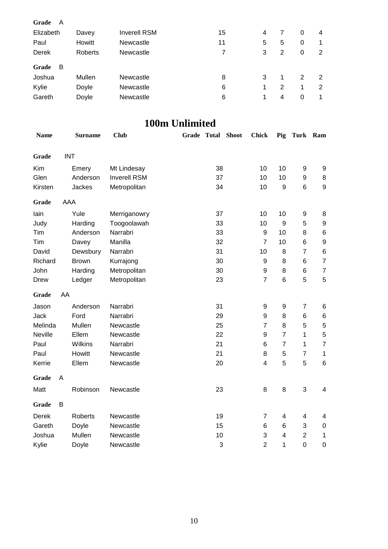| Grade       | A          |                |                     |                       |    |                |                |                |                  |                  |
|-------------|------------|----------------|---------------------|-----------------------|----|----------------|----------------|----------------|------------------|------------------|
| Elizabeth   |            | Davey          | <b>Inverell RSM</b> |                       | 15 |                | 4              | $\overline{7}$ | $\pmb{0}$        | 4                |
| Paul        |            | Howitt         | Newcastle           |                       | 11 |                | 5              | 5              | $\pmb{0}$        | 1                |
| Derek       |            | Roberts        | Newcastle           |                       |    | $\overline{7}$ | 3              | $\overline{2}$ | $\pmb{0}$        | $\overline{2}$   |
| Grade       | B          |                |                     |                       |    |                |                |                |                  |                  |
| Joshua      |            | Mullen         | Newcastle           |                       |    | 8              | 3              | 1              | $\overline{2}$   | $\overline{c}$   |
| Kylie       |            | Doyle          | Newcastle           |                       |    | $\,6$          | $\mathbf{1}$   | $\overline{2}$ | $\mathbf{1}$     | $\overline{2}$   |
| Gareth      |            | Doyle          | Newcastle           |                       |    | 6              | $\mathbf{1}$   | 4              | $\boldsymbol{0}$ | 1                |
|             |            |                |                     | <b>100m Unlimited</b> |    |                |                |                |                  |                  |
| <b>Name</b> |            | <b>Surname</b> | <b>Club</b>         | Grade Total           |    | <b>Shoot</b>   | <b>Chick</b>   | Pig            | Turk Ram         |                  |
| Grade       | <b>INT</b> |                |                     |                       |    |                |                |                |                  |                  |
| Kim         |            | Emery          | Mt Lindesay         |                       | 38 |                | 10             | 10             | 9                | 9                |
| Glen        |            | Anderson       | <b>Inverell RSM</b> |                       | 37 |                | 10             | 10             | 9                | 8                |
| Kirsten     |            | Jackes         | Metropolitan        |                       | 34 |                | 10             | 9              | 6                | 9                |
| Grade       | AAA        |                |                     |                       |    |                |                |                |                  |                  |
| lain        |            | Yule           | Merriganowry        |                       | 37 |                | 10             | 10             | 9                | 8                |
| Judy        |            | Harding        | Toogoolawah         |                       | 33 |                | 10             | 9              | 5                | 9                |
| Tim         |            | Anderson       | Narrabri            |                       | 33 |                | 9              | 10             | 8                | $\,6$            |
| Tim         |            | Davey          | Manilla             |                       | 32 |                | $\overline{7}$ | 10             | 6                | 9                |
| David       |            | Dewsbury       | Narrabri            |                       | 31 |                | 10             | 8              | $\overline{7}$   | $\,6$            |
| Richard     |            | <b>Brown</b>   | Kurrajong           |                       | 30 |                | 9              | 8              | 6                | $\overline{7}$   |
| John        |            | Harding        | Metropolitan        |                       | 30 |                | 9              | 8              | 6                | $\boldsymbol{7}$ |
| Drew        |            | Ledger         | Metropolitan        |                       | 23 |                | $\overline{7}$ | $\,6$          | 5                | 5                |
| Grade       | AA         |                |                     |                       |    |                |                |                |                  |                  |
| Jason       |            | Anderson       | Narrabri            |                       | 31 |                | 9              | 9              | $\overline{7}$   | 6                |
| Jack        |            | Ford           | Narrabri            |                       | 29 |                | 9              | 8              | 6                | 6                |
| Melinda     |            | Mullen         | Newcastle           |                       | 25 |                | 7              | 8              | 5                | 5                |
| Neville     |            | Ellem          | Newcastle           |                       | 22 |                | 9              | $\overline{7}$ | 1                | 5                |
| Paul        |            | Wilkins        | Narrabri            |                       | 21 |                | 6              | $\overline{7}$ | 1                | 7                |
| Paul        |            | Howitt         | Newcastle           |                       | 21 |                | 8              | 5              | 7                | 1                |
| Kerrie      |            | Ellem          | Newcastle           |                       | 20 |                | 4              | 5              | 5                | 6                |
|             |            |                |                     |                       |    |                |                |                |                  |                  |

| Kerrie        |   | Ellem          | Newcastle | 20 | 4 | 5 | 5 | 6 |
|---------------|---|----------------|-----------|----|---|---|---|---|
| Grade<br>Matt | A | Robinson       | Newcastle | 23 | 8 | 8 | 3 | 4 |
| Grade         | В |                |           |    |   |   |   |   |
| Derek         |   | <b>Roberts</b> | Newcastle | 19 | 7 | 4 | 4 | 4 |
| Gareth        |   | Doyle          | Newcastle | 15 | 6 | 6 | 3 | C |
| Joshua        |   | Mullen         | Newcastle | 10 | 3 | 4 | 2 |   |
| Kylie         |   | Doyle          | Newcastle | 3  | 2 | 1 | 0 |   |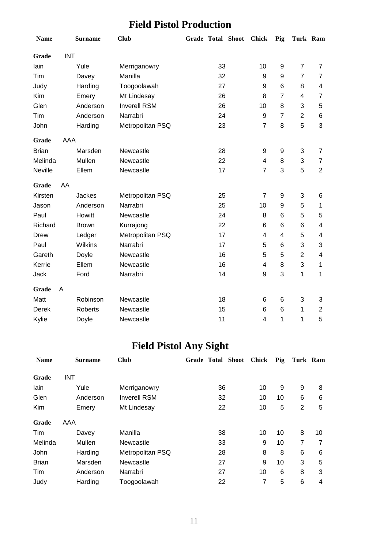## **Field Pistol Production**

| <b>Name</b>    |            | <b>Surname</b> | <b>Club</b>         |    | Grade Total Shoot | <b>Chick</b>   | Pig            | Turk Ram       |                |
|----------------|------------|----------------|---------------------|----|-------------------|----------------|----------------|----------------|----------------|
| Grade          | <b>INT</b> |                |                     |    |                   |                |                |                |                |
| lain           |            | Yule           | Merriganowry        | 33 |                   | 10             | 9              | $\overline{7}$ | $\overline{7}$ |
| Tim            |            | Davey          | Manilla             | 32 |                   | 9              | 9              | $\overline{7}$ | $\overline{7}$ |
| Judy           |            | Harding        | Toogoolawah         | 27 |                   | 9              | 6              | 8              | $\overline{4}$ |
| Kim            |            | Emery          | Mt Lindesay         | 26 |                   | 8              | $\overline{7}$ | 4              | $\overline{7}$ |
| Glen           |            | Anderson       | <b>Inverell RSM</b> | 26 |                   | 10             | 8              | 3              | 5              |
| Tim            |            | Anderson       | Narrabri            | 24 |                   | 9              | $\overline{7}$ | $\overline{2}$ | 6              |
| John           |            | Harding        | Metropolitan PSQ    | 23 |                   | $\overline{7}$ | 8              | 5              | 3              |
| Grade          | AAA        |                |                     |    |                   |                |                |                |                |
| <b>Brian</b>   |            | Marsden        | Newcastle           | 28 |                   | 9              | 9              | 3              | $\overline{7}$ |
| Melinda        |            | Mullen         | Newcastle           | 22 |                   | 4              | 8              | 3              | $\overline{7}$ |
| <b>Neville</b> |            | Ellem          | Newcastle           | 17 |                   | $\overline{7}$ | 3              | 5              | $\overline{2}$ |
| Grade          | AA         |                |                     |    |                   |                |                |                |                |
| Kirsten        |            | <b>Jackes</b>  | Metropolitan PSQ    | 25 |                   | $\overline{7}$ | 9              | 3              | 6              |
| Jason          |            | Anderson       | Narrabri            | 25 |                   | 10             | 9              | 5              | $\mathbf{1}$   |
| Paul           |            | Howitt         | Newcastle           | 24 |                   | 8              | 6              | 5              | 5              |
| Richard        |            | <b>Brown</b>   | Kurrajong           | 22 |                   | 6              | 6              | 6              | 4              |
| <b>Drew</b>    |            | Ledger         | Metropolitan PSQ    | 17 |                   | 4              | 4              | 5              | 4              |
| Paul           |            | Wilkins        | Narrabri            | 17 |                   | 5              | 6              | 3              | 3              |
| Gareth         |            | Doyle          | Newcastle           | 16 |                   | 5              | 5              | $\overline{2}$ | 4              |
| Kerrie         |            | Ellem          | Newcastle           | 16 |                   | $\overline{4}$ | 8              | 3              | $\mathbf{1}$   |
| <b>Jack</b>    |            | Ford           | Narrabri            | 14 |                   | 9              | 3              | 1              | $\mathbf 1$    |
| Grade          | A          |                |                     |    |                   |                |                |                |                |
| Matt           |            | Robinson       | Newcastle           | 18 |                   | 6              | 6              | 3              | 3              |
| Derek          |            | <b>Roberts</b> | Newcastle           | 15 |                   | 6              | 6              | 1              | $\overline{c}$ |
| Kylie          |            | Doyle          | Newcastle           | 11 |                   | $\overline{4}$ | 1              | 1              | 5              |

## **Field Pistol Any Sight**

| <b>Name</b>  | <b>Surname</b> | <b>Club</b>         | <b>Grade Total Shoot</b> |    | <b>Chick</b> | Pig | Turk Ram |    |
|--------------|----------------|---------------------|--------------------------|----|--------------|-----|----------|----|
| Grade        | <b>INT</b>     |                     |                          |    |              |     |          |    |
| lain         | Yule           | Merriganowry        |                          | 36 | 10           | 9   | 9        | 8  |
| Glen         | Anderson       | <b>Inverell RSM</b> |                          | 32 | 10           | 10  | 6        | 6  |
| Kim          | Emery          | Mt Lindesay         |                          | 22 | 10           | 5   | 2        | 5  |
| Grade        | AAA            |                     |                          |    |              |     |          |    |
| Tim          | Davey          | Manilla             |                          | 38 | 10           | 10  | 8        | 10 |
| Melinda      | Mullen         | Newcastle           |                          | 33 | 9            | 10  | 7        | 7  |
| John         | Harding        | Metropolitan PSQ    |                          | 28 | 8            | 8   | 6        | 6  |
| <b>Brian</b> | Marsden        | Newcastle           |                          | 27 | 9            | 10  | 3        | 5  |
| Tim          | Anderson       | Narrabri            |                          | 27 | 10           | 6   | 8        | 3  |
| Judy         | Harding        | Toogoolawah         |                          | 22 | 7            | 5   | 6        | 4  |